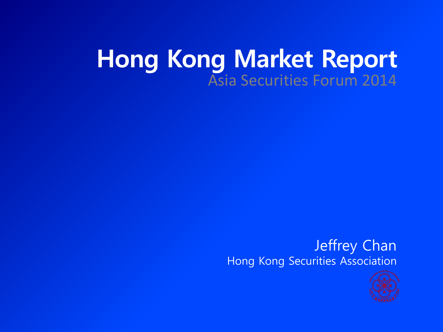### **Hong Kong Market Report** Asia Securities Forum 2014

#### Jeffrey Chan Hong Kong Securities Association

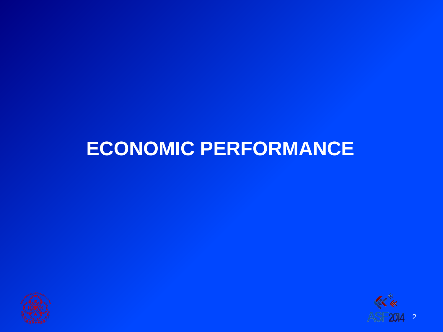



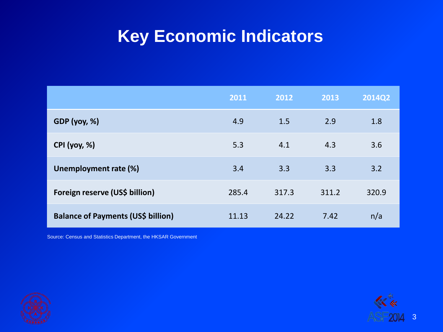#### **Key Economic Indicators**

|                                           | 2011  | 2012  | 2013  | <b>2014Q2</b> |
|-------------------------------------------|-------|-------|-------|---------------|
| GDP(yoy, %)                               | 4.9   | 1.5   | 2.9   | 1.8           |
| <b>CPI</b> (yoy, %)                       | 5.3   | 4.1   | 4.3   | 3.6           |
| Unemployment rate (%)                     | 3.4   | 3.3   | 3.3   | 3.2           |
| Foreign reserve (US\$ billion)            | 285.4 | 317.3 | 311.2 | 320.9         |
| <b>Balance of Payments (US\$ billion)</b> | 11.13 | 24.22 | 7.42  | n/a           |

Source: Census and Statistics Department, the HKSAR Government



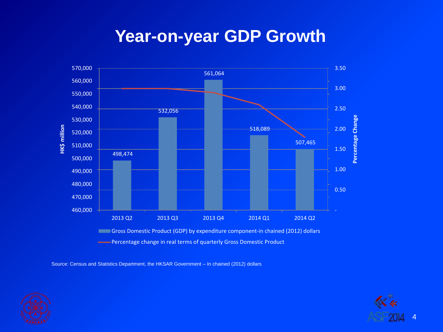#### **Year-on-year GDP Growth**



Source: Census and Statistics Department, the HKSAR Government – In chained (2012) dollars



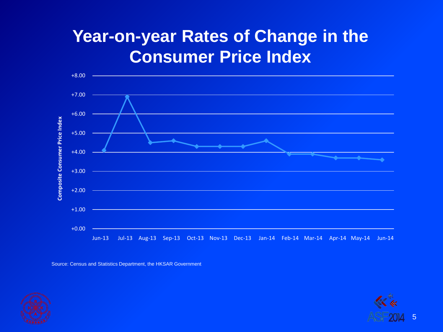#### **Year-on-year Rates of Change in the Consumer Price Index**



Source: Census and Statistics Department, the HKSAR Government



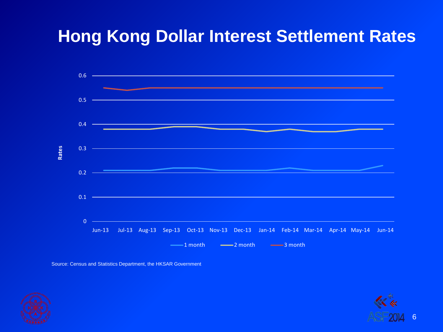#### **Hong Kong Dollar Interest Settlement Rates**



Source: Census and Statistics Department, the HKSAR Government



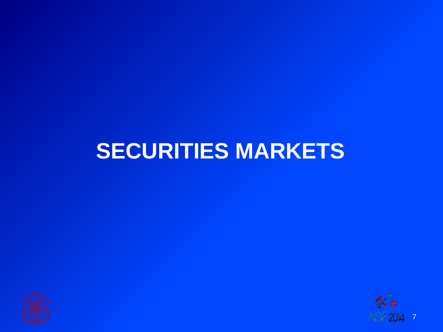# **SECURITIES MARKETS**



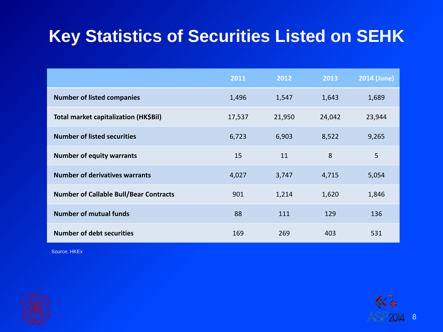### **Key Statistics of Securities Listed on SEHK**

|                                               | 2011   | 2012   | 2013   | <b>2014 (June)</b> |
|-----------------------------------------------|--------|--------|--------|--------------------|
| <b>Number of listed companies</b>             | 1,496  | 1,547  | 1,643  | 1,689              |
| Total market capitalization (HK\$Bil)         | 17,537 | 21,950 | 24,042 | 23,944             |
| <b>Number of listed securities</b>            | 6,723  | 6,903  | 8,522  | 9,265              |
| <b>Number of equity warrants</b>              | 15     | 11     | 8      | 5                  |
| <b>Number of derivatives warrants</b>         | 4,027  | 3,747  | 4,715  | 5,054              |
| <b>Number of Callable Bull/Bear Contracts</b> | 901    | 1,214  | 1,620  | 1,846              |
| <b>Number of mutual funds</b>                 | 88     | 111    | 129    | 136                |
| <b>Number of debt securities</b>              | 169    | 269    | 403    | 531                |



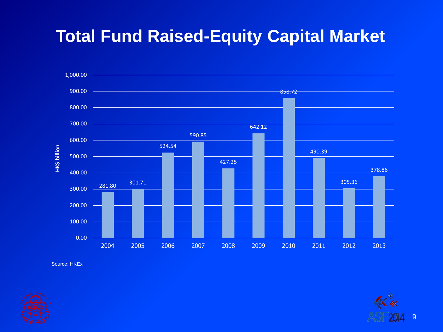#### **Total Fund Raised-Equity Capital Market**





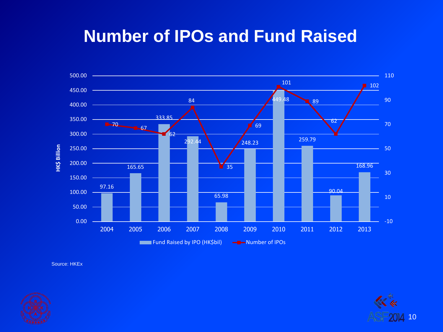#### **Number of IPOs and Fund Raised**





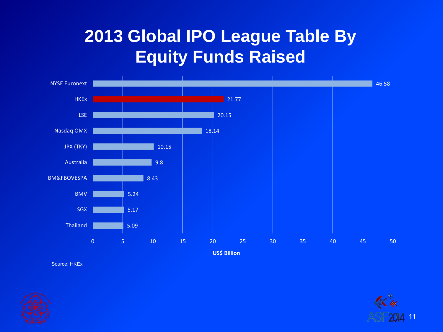#### **2013 Global IPO League Table By Equity Funds Raised**





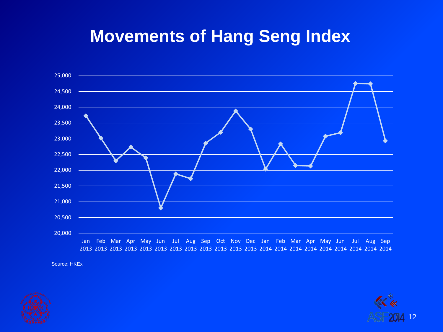#### **Movements of Hang Seng Index**





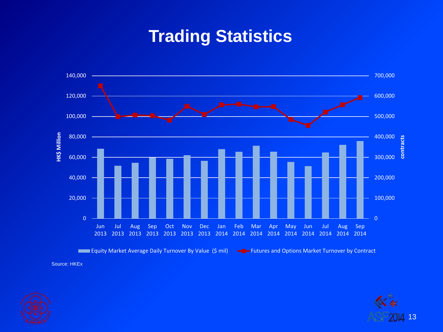#### **Trading Statistics**





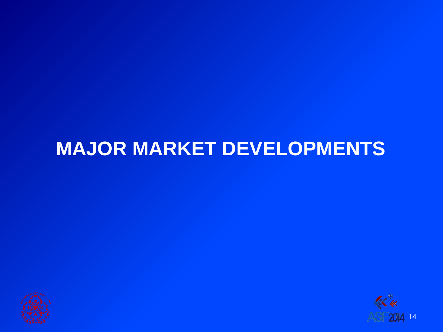## **MAJOR MARKET DEVELOPMENTS**



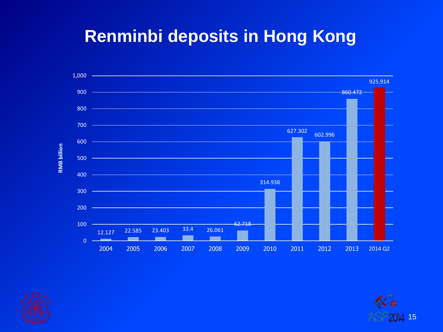#### **Renminbi deposits in Hong Kong**





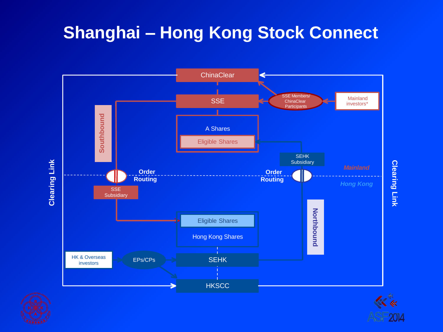#### **Shanghai – Hong Kong Stock Connect**





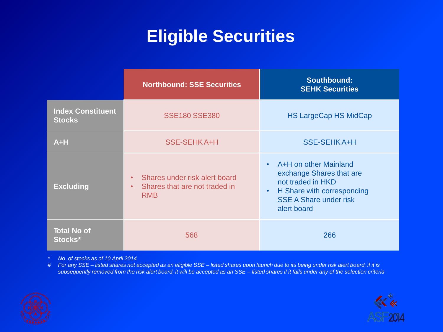#### **Eligible Securities**

|                                           | <b>Northbound: SSE Securities</b>                                                                      | <b>Southbound:</b><br><b>SEHK Securities</b>                                                                                                                      |  |
|-------------------------------------------|--------------------------------------------------------------------------------------------------------|-------------------------------------------------------------------------------------------------------------------------------------------------------------------|--|
| <b>Index Constituent</b><br><b>Stocks</b> | <b>SSE180 SSE380</b>                                                                                   | <b>HS LargeCap HS MidCap</b>                                                                                                                                      |  |
| $A+H$                                     | <b>SSE-SEHKA+H</b>                                                                                     | <b>SSE-SEHKA+H</b>                                                                                                                                                |  |
| <b>Excluding</b>                          | Shares under risk alert board<br>$\bullet$<br>Shares that are not traded in<br>$\bullet$<br><b>RMB</b> | A+H on other Mainland<br>exchange Shares that are<br>not traded in HKD<br>H Share with corresponding<br>$\bullet$<br><b>SSE A Share under risk</b><br>alert board |  |
| <b>Total No of</b><br>Stocks*             | 568                                                                                                    | 266                                                                                                                                                               |  |

*\* No. of stocks as of 10 April 2014*

*# For any SSE – listed shares not accepted as an eligible SSE – listed shares upon launch due to its being under risk alert board, if it is subsequently removed from the risk alert board, it will be accepted as an SSE – listed shares if it falls under any of the selection criteria*



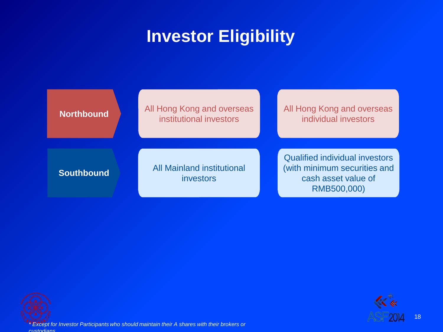#### **Investor Eligibility**







*\* Except for Investor Participants who should maintain their A shares with their brokers or custodians*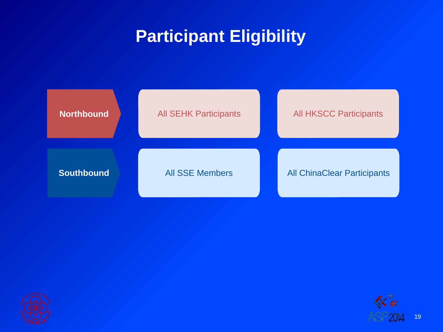#### **Participant Eligibility**







19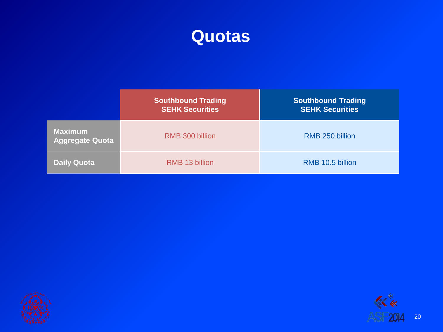

|                                          | <b>Southbound Trading</b><br><b>SEHK Securities</b> | <b>Southbound Trading</b><br><b>SEHK Securities</b> |
|------------------------------------------|-----------------------------------------------------|-----------------------------------------------------|
| <b>Maximum</b><br><b>Aggregate Quota</b> | RMB 300 billion                                     | RMB 250 billion                                     |
| <b>Daily Quota</b>                       | RMB 13 billion                                      | RMB 10.5 billion                                    |